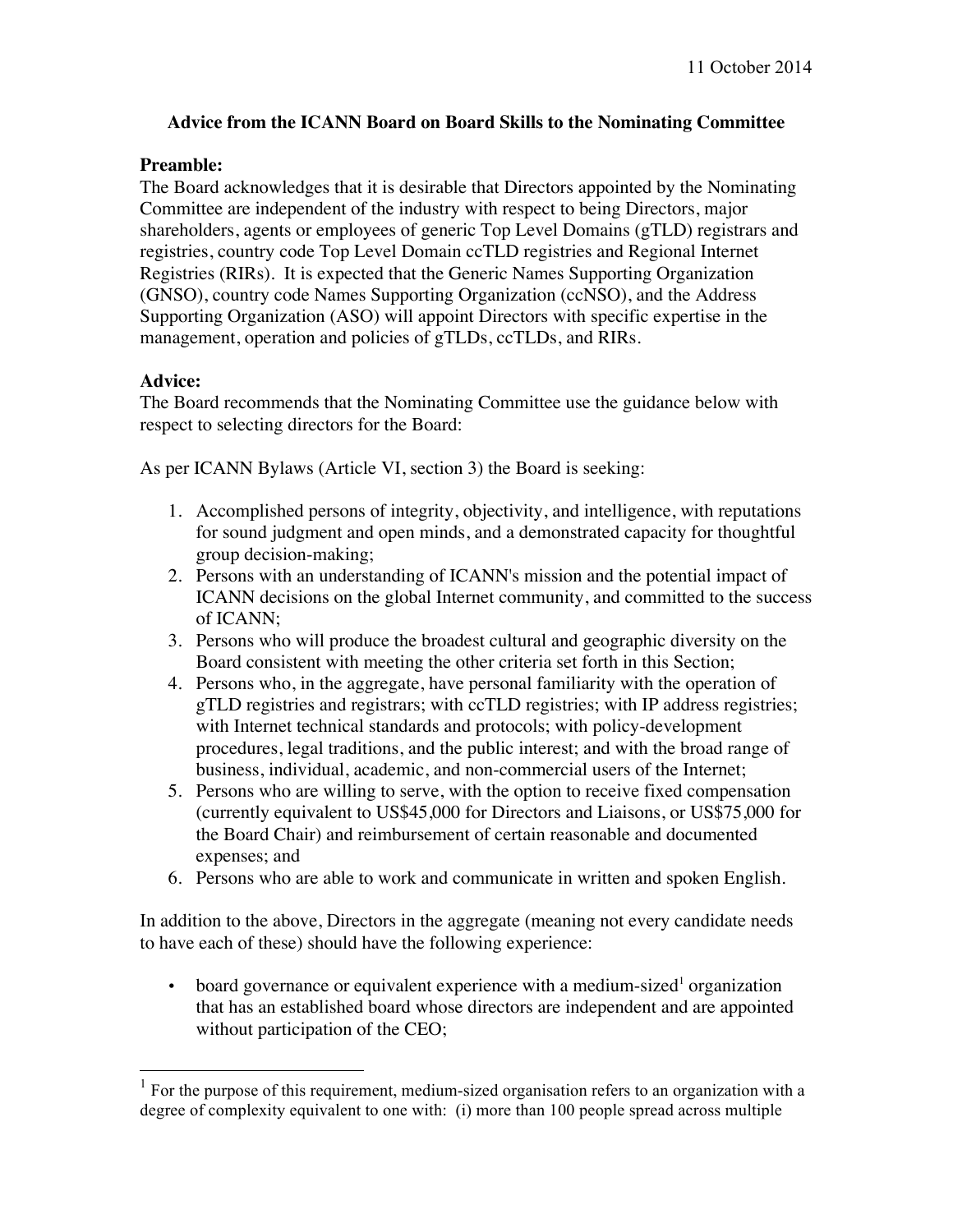## **Advice from the ICANN Board on Board Skills to the Nominating Committee**

## **Preamble:**

The Board acknowledges that it is desirable that Directors appointed by the Nominating Committee are independent of the industry with respect to being Directors, major shareholders, agents or employees of generic Top Level Domains (gTLD) registrars and registries, country code Top Level Domain ccTLD registries and Regional Internet Registries (RIRs). It is expected that the Generic Names Supporting Organization (GNSO), country code Names Supporting Organization (ccNSO), and the Address Supporting Organization (ASO) will appoint Directors with specific expertise in the management, operation and policies of gTLDs, ccTLDs, and RIRs.

## **Advice:**

The Board recommends that the Nominating Committee use the guidance below with respect to selecting directors for the Board:

As per ICANN Bylaws (Article VI, section 3) the Board is seeking:

- 1. Accomplished persons of integrity, objectivity, and intelligence, with reputations for sound judgment and open minds, and a demonstrated capacity for thoughtful group decision-making;
- 2. Persons with an understanding of ICANN's mission and the potential impact of ICANN decisions on the global Internet community, and committed to the success of ICANN;
- 3. Persons who will produce the broadest cultural and geographic diversity on the Board consistent with meeting the other criteria set forth in this Section;
- 4. Persons who, in the aggregate, have personal familiarity with the operation of gTLD registries and registrars; with ccTLD registries; with IP address registries; with Internet technical standards and protocols; with policy-development procedures, legal traditions, and the public interest; and with the broad range of business, individual, academic, and non-commercial users of the Internet;
- 5. Persons who are willing to serve, with the option to receive fixed compensation (currently equivalent to US\$45,000 for Directors and Liaisons, or US\$75,000 for the Board Chair) and reimbursement of certain reasonable and documented expenses; and
- 6. Persons who are able to work and communicate in written and spoken English.

In addition to the above, Directors in the aggregate (meaning not every candidate needs to have each of these) should have the following experience:

• board governance or equivalent experience with a medium-sized<sup>1</sup> organization that has an established board whose directors are independent and are appointed without participation of the CEO;

<sup>1</sup> For the purpose of this requirement, medium-sized organisation refers to an organization with a degree of complexity equivalent to one with: (i) more than 100 people spread across multiple